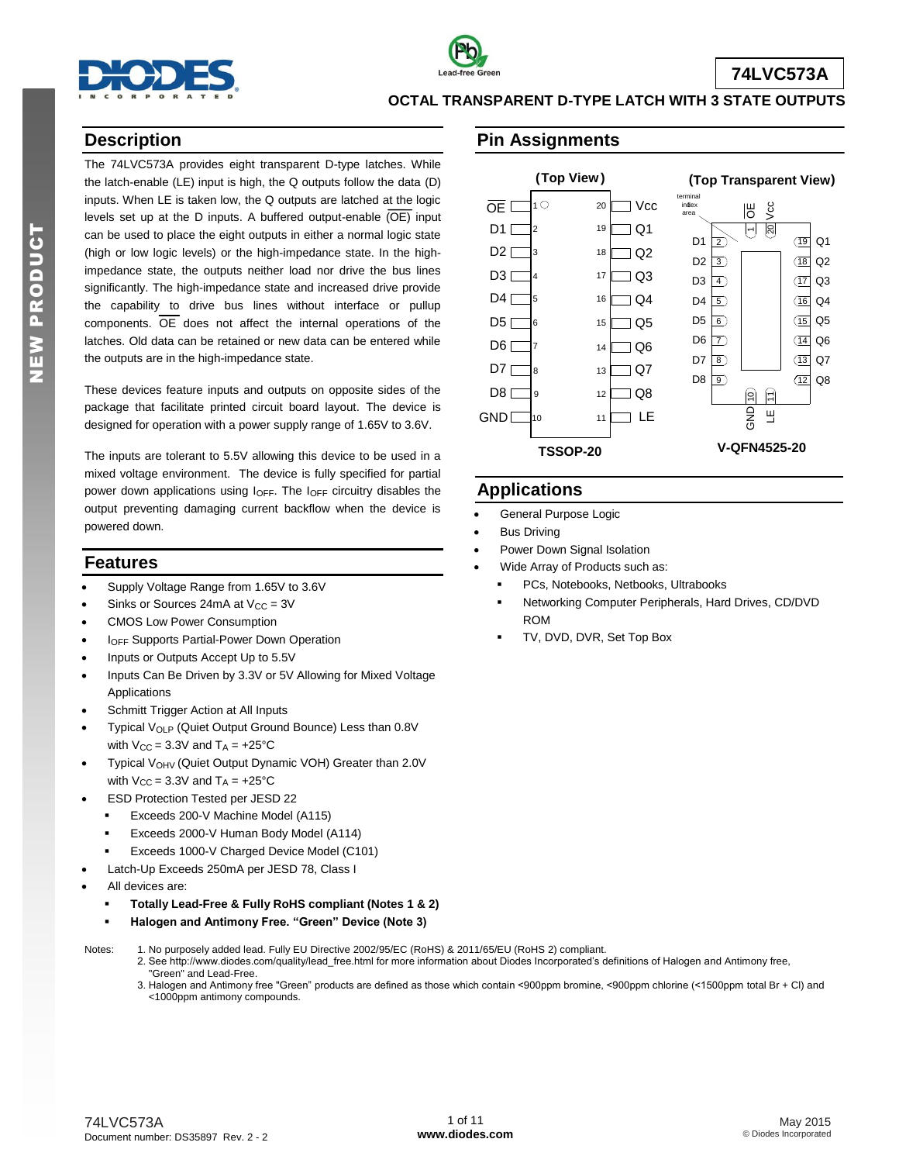

# **74LVC573A**

#### **OCTAL TRANSPARENT D-TYPE LATCH WITH 3 STATE OUTPUTS**

## **Description**

The 74LVC573A provides eight transparent D-type latches. While the latch-enable (LE) input is high, the Q outputs follow the data (D) inputs. When LE is taken low, the Q outputs are latched at the logic levels set up at the D inputs. A buffered output-enable  $\overline{OE}$  input can be used to place the eight outputs in either a normal logic state (high or low logic levels) or the high-impedance state. In the highimpedance state, the outputs neither load nor drive the bus lines significantly. The high-impedance state and increased drive provide the capability to drive bus lines without interface or pullup components.  $\overline{OE}$  does not affect the internal operations of the latches. Old data can be retained or new data can be entered while the outputs are in the high-impedance state.

These devices feature inputs and outputs on opposite sides of the package that facilitate printed circuit board layout. The device is designed for operation with a power supply range of 1.65V to 3.6V.

The inputs are tolerant to 5.5V allowing this device to be used in a mixed voltage environment. The device is fully specified for partial power down applications using  $I_{\text{OFF}}$ . The  $I_{\text{OFF}}$  circuitry disables the output preventing damaging current backflow when the device is powered down.

#### **Features**

- Supply Voltage Range from 1.65V to 3.6V
- Sinks or Sources 24mA at  $V_{CC} = 3V$
- CMOS Low Power Consumption
- IOFF Supports Partial-Power Down Operation
- Inputs or Outputs Accept Up to 5.5V
- Inputs Can Be Driven by 3.3V or 5V Allowing for Mixed Voltage Applications
- Schmitt Trigger Action at All Inputs
- Typical V<sub>OLP</sub> (Quiet Output Ground Bounce) Less than 0.8V with  $V_{CC} = 3.3V$  and  $T_A = +25°C$
- Typical V<sub>OHV</sub> (Quiet Output Dynamic VOH) Greater than 2.0V with  $V_{CC}$  = 3.3V and  $T_A$  = +25°C
- ESD Protection Tested per JESD 22
	- **Exceeds 200-V Machine Model (A115)**
	- Exceeds 2000-V Human Body Model (A114)
	- Exceeds 1000-V Charged Device Model (C101)
	- Latch-Up Exceeds 250mA per JESD 78, Class I
- All devices are:
	- **Totally Lead-Free & Fully RoHS compliant (Notes 1 & 2)**
	- **Halogen and Antimony Free. "Green" Device (Note 3)**
- Notes: 1. No purposely added lead. Fully EU Directive 2002/95/EC (RoHS) & 2011/65/EU (RoHS 2) compliant. 2. See [http://www.diodes.com/quality/lead\\_free.html fo](http://www.diodes.com/quality/lead_free.html)r more information about Diodes Incorporated's definitions of Halogen and Antimony free,
	- "Green" and Lead-Free.
	- 3. Halogen and Antimony free "Green" products are defined as those which contain <900ppm bromine, <900ppm chlorine (<1500ppm total Br + Cl) and <1000ppm antimony compounds.



**A**

## **Applications**

- General Purpose Logic
- Bus Driving
- Power Down Signal Isolation
- Wide Array of Products such as:
	- PCs, Notebooks, Netbooks, Ultrabooks
	- Networking Computer Peripherals, Hard Drives, CD/DVD ROM
	- TV, DVD, DVR, Set Top Box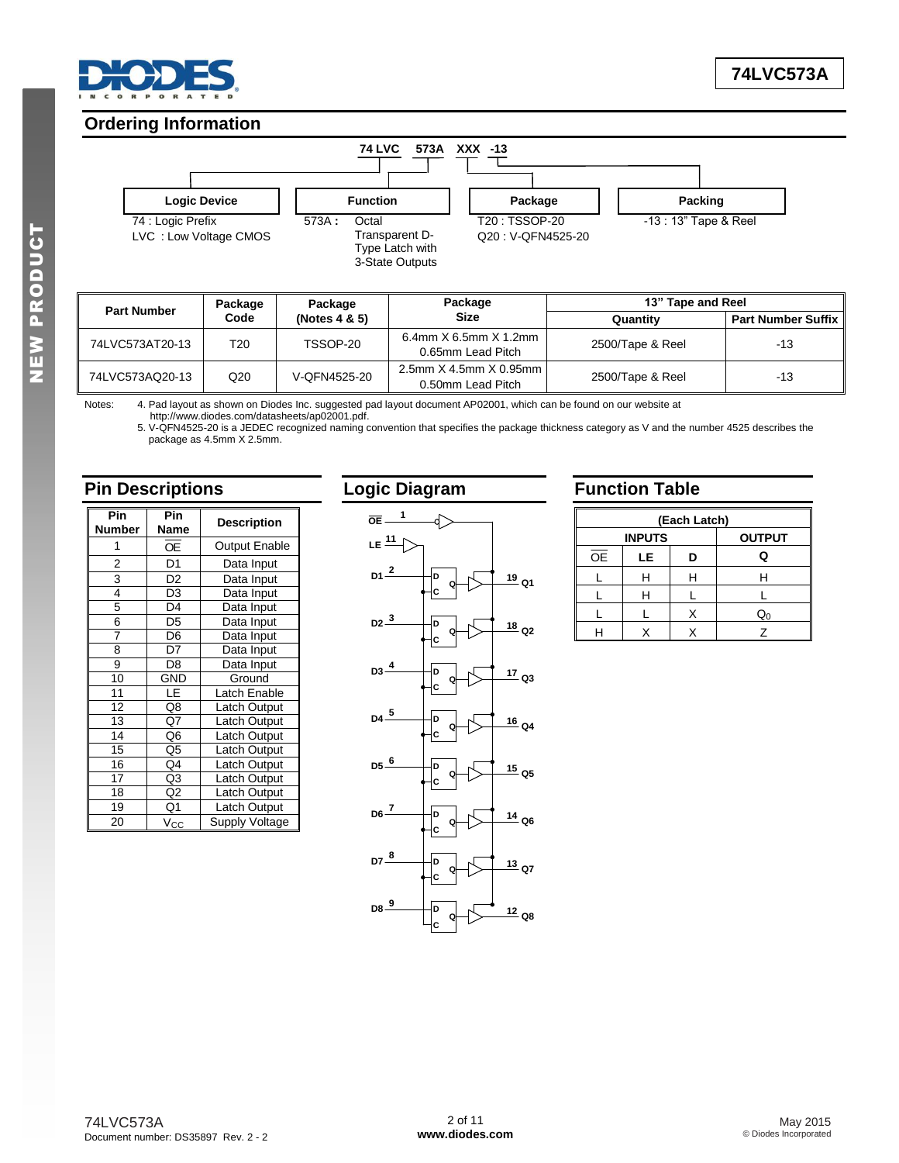

## **Ordering Information**



| Package<br><b>Part Number</b> |      | Package          | Package                                        | 13" Tape and Reel |                           |  |
|-------------------------------|------|------------------|------------------------------------------------|-------------------|---------------------------|--|
|                               | Code | (Notes $4 & 5$ ) | <b>Size</b>                                    | Quantity          | <b>Part Number Suffix</b> |  |
| 74LVC573AT20-13               | T20  | TSSOP-20         | 6.4mm $X$ 6.5mm $X$ 1.2mm<br>0.65mm Lead Pitch | 2500/Tape & Reel  | -13                       |  |
| 74LVC573AQ20-13               | Q20  | V-OFN4525-20     | 2.5mm X 4.5mm X 0.95mm<br>0.50mm Lead Pitch    | 2500/Tape & Reel  | $-13$                     |  |

Notes: 4. Pad layout as shown on Diodes Inc. suggested pad layout document AP02001, which can be found on our website at [http://www.diodes.com/datasheets/ap02001.pdf.](http://www.diodes.com/datasheets/ap02001.pdf)

5. V-QFN4525-20 is a JEDEC recognized naming convention that specifies the package thickness category as V and the number 4525 describes the package as 4.5mm X 2.5mm.

## **Pin Descriptions**

| Pin<br><b>Number</b> | Pin<br>Name    | <b>Description</b>    |
|----------------------|----------------|-----------------------|
|                      | ОE             | Output Enable         |
| 2                    | D <sub>1</sub> | Data Input            |
| 3                    | D <sub>2</sub> | Data Input            |
| 4                    | D <sub>3</sub> | Data Input            |
| 5                    | D4             | Data Input            |
| 6                    | D <sub>5</sub> | Data Input            |
| 7                    | D <sub>6</sub> | Data Input            |
| 8                    | D7             | Data Input            |
| 9                    | D <sub>8</sub> | Data Input            |
| 10                   | GND            | Ground                |
| 11                   | LE             | Latch Enable          |
| 12                   | Q8             | Latch Output          |
| 13                   | Q7             | Latch Output          |
| 14                   | Q <sub>6</sub> | Latch Output          |
| 15                   | Q <sub>5</sub> | Latch Output          |
| 16                   | Q4             | Latch Output          |
| 17                   | Q3             | Latch Output          |
| 18                   | Q <sub>2</sub> | Latch Output          |
| 19                   | Q1             | Latch Output          |
| 20                   | Vcc            | <b>Supply Voltage</b> |

# **Logic Diagram**



## **Function Table**

|    | (Each Latch)                   |   |                |  |  |  |  |
|----|--------------------------------|---|----------------|--|--|--|--|
|    | <b>INPUTS</b><br><b>OUTPUT</b> |   |                |  |  |  |  |
| OE | LE                             | D | Q              |  |  |  |  |
|    | н                              |   |                |  |  |  |  |
|    | н                              |   |                |  |  |  |  |
|    |                                |   | $\mathsf{Q}_0$ |  |  |  |  |
|    |                                |   |                |  |  |  |  |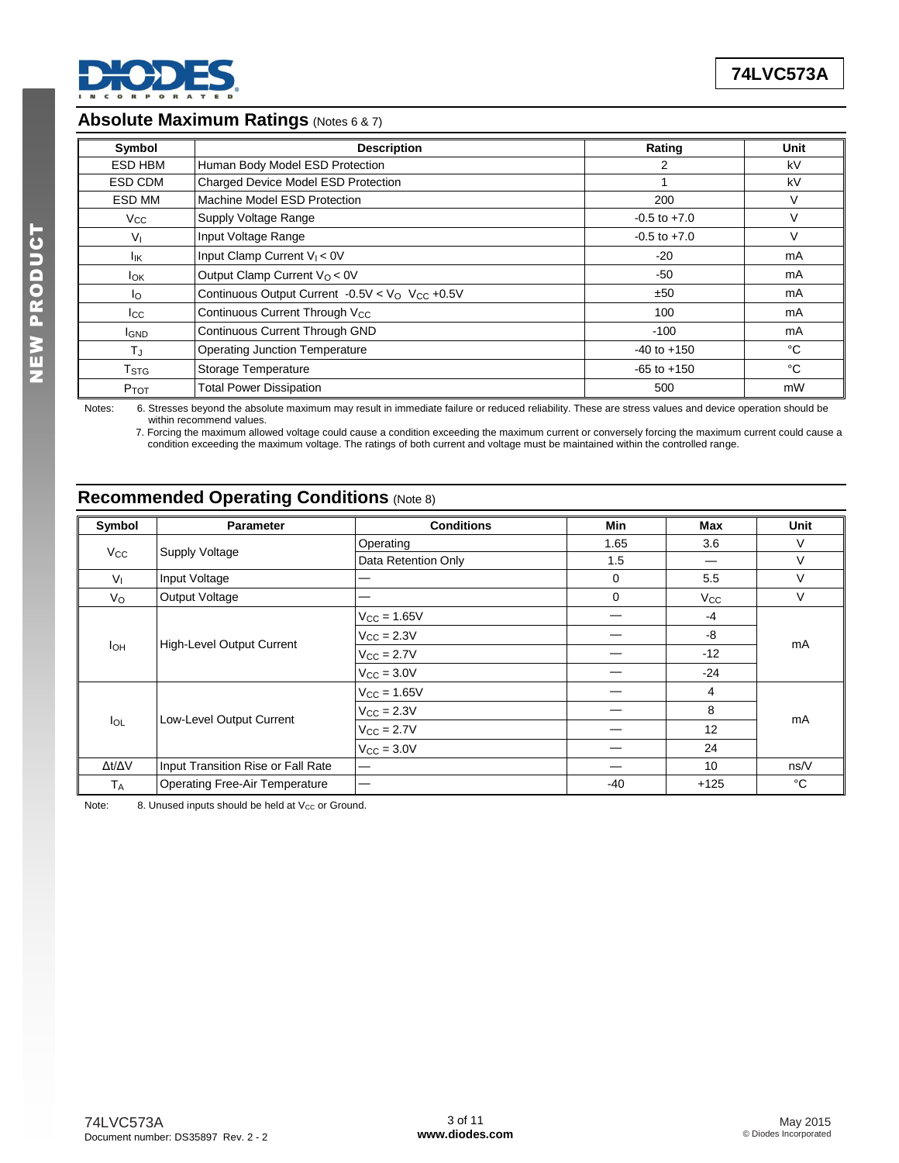

## **Absolute Maximum Ratings** (Notes 6 & 7) **A**

| Symbol                  | <b>Description</b>                                           | Rating           | Unit |
|-------------------------|--------------------------------------------------------------|------------------|------|
| ESD HBM                 | Human Body Model ESD Protection                              | 2                | kV   |
| ESD CDM                 | <b>Charged Device Model ESD Protection</b>                   |                  | kV   |
| ESD MM                  | Machine Model ESD Protection                                 | 200              | V    |
| $V_{\rm CC}$            | Supply Voltage Range                                         | $-0.5$ to $+7.0$ | V    |
| Vı                      | Input Voltage Range                                          | $-0.5$ to $+7.0$ | V    |
| lικ                     | Input Clamp Current $V_1 < 0V$                               | $-20$            | mA   |
| <b>l</b> ok             | Output Clamp Current $V_Q < 0V$                              | $-50$            | mA   |
| Ιo                      | Continuous Output Current -0.5V < $VO$ V <sub>CC</sub> +0.5V | ±50              | mA   |
| $_{\rm lcc}$            | Continuous Current Through V <sub>CC</sub>                   | 100              | mA   |
| <b>I</b> GND            | Continuous Current Through GND                               | $-100$           | mA   |
| $T_{\rm J}$             | <b>Operating Junction Temperature</b>                        | $-40$ to $+150$  | °C   |
| <b>T</b> <sub>STG</sub> | Storage Temperature                                          | $-65$ to $+150$  | °C   |
| P <sub>TOT</sub>        | <b>Total Power Dissipation</b>                               | 500              | mW   |

Notes: 6. Stresses beyond the absolute maximum may result in immediate failure or reduced reliability. These are stress values and device operation should be within recommend values. 7. Forcing the maximum allowed voltage could cause a condition exceeding the maximum current or conversely forcing the maximum current could cause a

condition exceeding the maximum voltage. The ratings of both current and voltage must be maintained within the controlled range.

# **Recommended Operating Conditions** (Note 8)

| Symbol                | <b>Parameter</b>                      | <b>Conditions</b>      | Min         | Max          | <b>Unit</b> |  |
|-----------------------|---------------------------------------|------------------------|-------------|--------------|-------------|--|
|                       |                                       | Operating              | 1.65        | 3.6          | V           |  |
| <b>V<sub>cc</sub></b> | Supply Voltage                        | Data Retention Only    | 1.5         |              | V           |  |
| $V_{I}$               | Input Voltage                         | –                      | $\mathbf 0$ | 5.5          | V           |  |
| $V_{\rm O}$           | Output Voltage                        | —                      | $\mathbf 0$ | $V_{\rm CC}$ | V           |  |
|                       |                                       | $V_{CC} = 1.65V$       |             | -4           |             |  |
|                       | <b>High-Level Output Current</b>      | $V_{\text{CC}} = 2.3V$ |             | -8           |             |  |
| Iон                   |                                       | $V_{\rm CC} = 2.7V$    |             | $-12$        | mA          |  |
|                       |                                       | $V_{\rm CC}$ = 3.0V    |             | $-24$        |             |  |
|                       |                                       | $V_{CC} = 1.65V$       |             | 4            |             |  |
|                       |                                       | $V_{\rm CC} = 2.3V$    |             | 8            |             |  |
| $I_{OL}$              | Low-Level Output Current              | $V_{CC} = 2.7V$        |             | 12           | mA          |  |
|                       |                                       | $V_{CC} = 3.0V$        |             | 24           |             |  |
| Δt/ΔV                 | Input Transition Rise or Fall Rate    | —                      |             | 10           | ns/V        |  |
| <b>TA</b>             | <b>Operating Free-Air Temperature</b> |                        | -40         | $+125$       | °C          |  |

Note: 8. Unused inputs should be held at  $V_{CC}$  or Ground.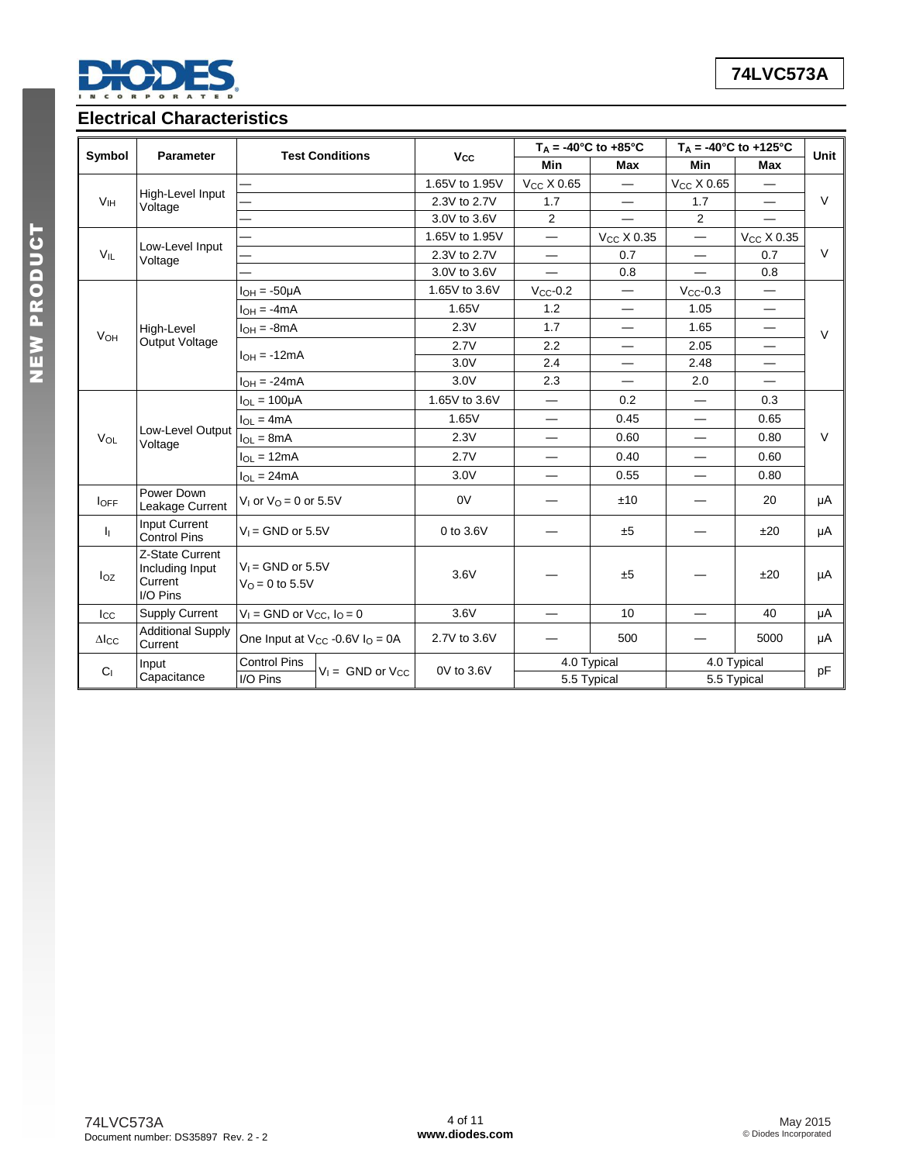

NEW PRODUCT

NEW PRODUCT

# **Electrical Characteristics**

|                       |                                                           |                                          | <b>Test Conditions</b>                          |                       |                          | $T_A = -40^{\circ}C$ to $+85^{\circ}C$ | $T_A = -40^{\circ}C$ to $+125^{\circ}C$ |                          | Unit   |
|-----------------------|-----------------------------------------------------------|------------------------------------------|-------------------------------------------------|-----------------------|--------------------------|----------------------------------------|-----------------------------------------|--------------------------|--------|
| Symbol                | <b>Parameter</b>                                          |                                          |                                                 | <b>V<sub>cc</sub></b> | <b>Min</b>               | <b>Max</b>                             | <b>Min</b>                              | Max                      |        |
|                       |                                                           |                                          |                                                 | 1.65V to 1.95V        | V <sub>CC</sub> X 0.65   | $\overline{\phantom{0}}$               | Vcc X 0.65                              | $\overline{\phantom{0}}$ |        |
| V <sub>IH</sub>       | High-Level Input<br>Voltage                               |                                          |                                                 | 2.3V to 2.7V          | 1.7                      | $\overline{\phantom{0}}$               | 1.7                                     | $\overline{\phantom{0}}$ | $\vee$ |
|                       |                                                           |                                          |                                                 | 3.0V to 3.6V          | 2                        |                                        | $\overline{2}$                          | $\overline{\phantom{0}}$ |        |
|                       |                                                           |                                          |                                                 | 1.65V to 1.95V        |                          | $V_{CC}$ X 0.35                        | $\overline{\phantom{0}}$                | $V_{CC}$ X 0.35          |        |
| $V_{IL}$              | Low-Level Input<br>Voltage                                |                                          |                                                 | 2.3V to 2.7V          | $\qquad \qquad -$        | 0.7                                    | $\qquad \qquad -$                       | 0.7                      | $\vee$ |
|                       |                                                           |                                          |                                                 | 3.0V to 3.6V          | $\overline{\phantom{0}}$ | 0.8                                    | $\overline{\phantom{0}}$                | 0.8                      |        |
|                       |                                                           | $I_{OH} = -50\mu A$                      |                                                 | 1.65V to 3.6V         | $V_{CC}$ -0.2            | $\qquad \qquad -$                      | $V_{CC}$ -0.3                           | —                        |        |
|                       |                                                           | $I_{OH} = -4mA$                          |                                                 | 1.65V                 | 1.2                      | $\overline{\phantom{0}}$               | 1.05                                    | $\overline{\phantom{0}}$ |        |
| <b>V<sub>OH</sub></b> | High-Level                                                | $I_{OH} = -8mA$                          |                                                 | 2.3V                  | 1.7                      |                                        | 1.65                                    | $\qquad \qquad$          | $\vee$ |
|                       | Output Voltage                                            |                                          |                                                 | 2.7V                  | 2.2                      | $\overline{\phantom{0}}$               | 2.05                                    | $\overline{\phantom{0}}$ |        |
|                       |                                                           | $I_{OH} = -12mA$                         |                                                 | 3.0V                  | 2.4                      |                                        | 2.48                                    | $\overline{\phantom{0}}$ |        |
|                       |                                                           | $I_{OH} = -24mA$                         |                                                 | 3.0V                  | 2.3                      | $\overline{\phantom{0}}$               | 2.0                                     | $\overline{\phantom{0}}$ |        |
|                       |                                                           | $I_{OL} = 100 \mu A$                     |                                                 | 1.65V to 3.6V         |                          | 0.2                                    |                                         | 0.3                      |        |
|                       |                                                           | $I_{OL} = 4mA$                           |                                                 | 1.65V                 |                          | 0.45                                   |                                         | 0.65                     |        |
| VOL                   | Low-Level Output<br>Voltage                               | $I_{OL} = 8mA$                           |                                                 | 2.3V                  |                          | 0.60                                   |                                         | 0.80                     | $\vee$ |
|                       |                                                           | $I_{OL} = 12mA$                          |                                                 | 2.7V                  |                          | 0.40                                   | —                                       | 0.60                     |        |
|                       |                                                           | $I_{OL} = 24mA$                          |                                                 | 3.0V                  |                          | 0.55                                   |                                         | 0.80                     |        |
| <b>IOFF</b>           | Power Down<br>Leakage Current                             | V <sub>1</sub> or $V_Q$ = 0 or 5.5V      |                                                 | 0V                    |                          | ±10                                    |                                         | 20                       | μA     |
| h.                    | <b>Input Current</b><br><b>Control Pins</b>               | $V_1 =$ GND or 5.5V                      |                                                 | 0 to 3.6V             |                          | ±5                                     |                                         | ±20                      | μA     |
| $I_{OZ}$              | Z-State Current<br>Including Input<br>Current<br>I/O Pins | $V_1 =$ GND or 5.5V<br>$V_0 = 0$ to 5.5V |                                                 | 3.6V                  |                          | ±5                                     |                                         | ±20                      | μA     |
| $_{\rm lcc}$          | <b>Supply Current</b>                                     | $V_1$ = GND or $V_{CC}$ , $I_0$ = 0      |                                                 | 3.6V                  |                          | 10                                     | $\overline{\phantom{0}}$                | 40                       | μA     |
| $\Delta$ Icc          | <b>Additional Supply</b><br>Current                       |                                          | One Input at $V_{CC}$ -0.6V I <sub>O</sub> = 0A | 2.7V to 3.6V          |                          | 500                                    |                                         | 5000                     | μA     |
| C <sub>1</sub>        | Input                                                     | <b>Control Pins</b>                      | $V_1 =$ GND or $V_{CC}$                         | 0V to 3.6V            |                          | 4.0 Typical<br>4.0 Typical             |                                         |                          | pF     |
|                       | Capacitance                                               | I/O Pins                                 |                                                 |                       | 5.5 Typical              |                                        | 5.5 Typical                             |                          |        |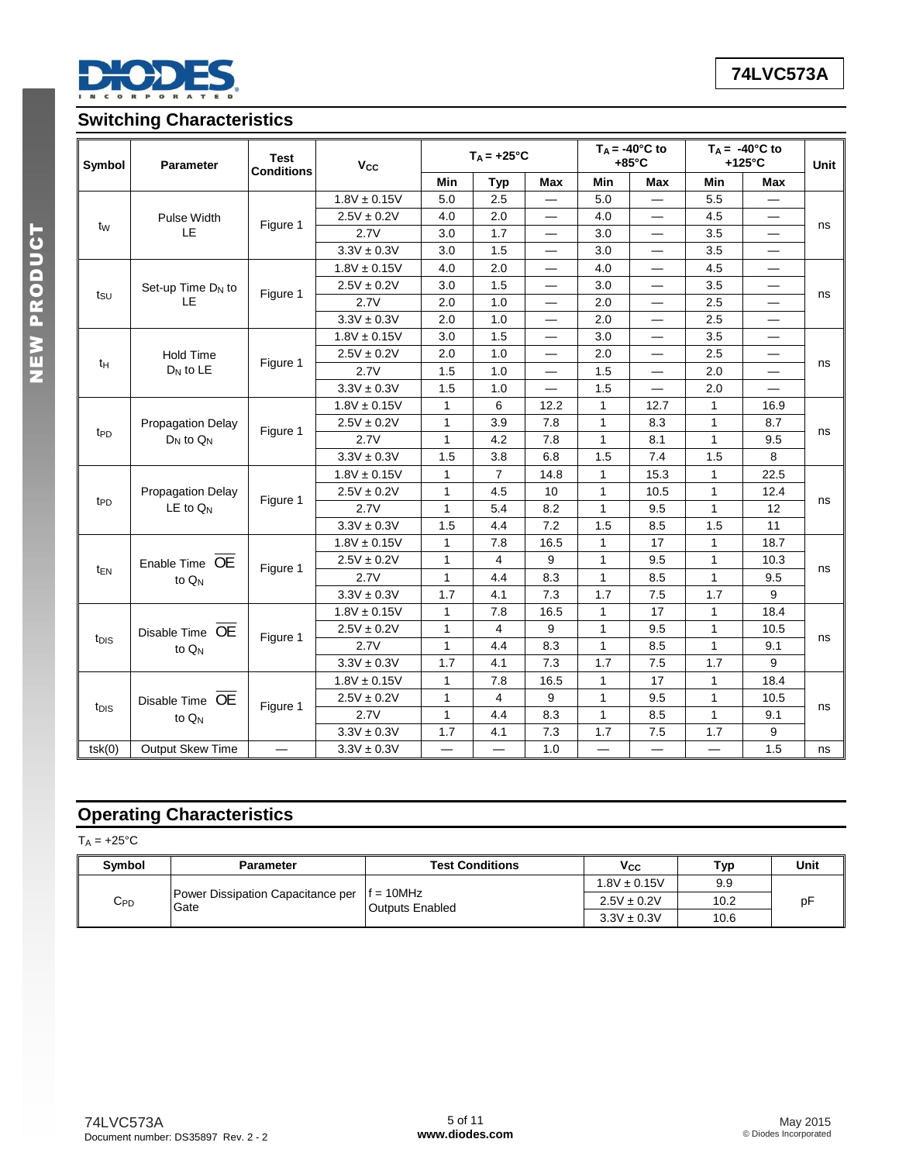

# **Switching Characteristics**

| Symbol<br><b>Parameter</b>   |                          | <b>Test</b><br><b>Conditions</b> | Vcc              |                          | $T_A = +25$ °C |                          |                          | $T_A = -40^{\circ}$ C to<br>$+85^{\circ}$ C |                          | $T_A = -40^{\circ}$ C to<br>$+125^{\circ}$ C | Unit |
|------------------------------|--------------------------|----------------------------------|------------------|--------------------------|----------------|--------------------------|--------------------------|---------------------------------------------|--------------------------|----------------------------------------------|------|
|                              |                          |                                  |                  | Min                      | <b>Typ</b>     | <b>Max</b>               | Min                      | <b>Max</b>                                  | Min                      | <b>Max</b>                                   |      |
|                              |                          |                                  | $1.8V \pm 0.15V$ | 5.0                      | 2.5            |                          | 5.0                      | $\overline{\phantom{0}}$                    | 5.5                      |                                              |      |
|                              | Pulse Width              | Figure 1                         | $2.5V \pm 0.2V$  | 4.0                      | 2.0            | $\overline{\phantom{0}}$ | 4.0                      | $\overline{\phantom{0}}$                    | 4.5                      |                                              |      |
| tw                           | LE                       |                                  | 2.7V             | 3.0                      | 1.7            | $\overline{\phantom{0}}$ | 3.0                      |                                             | 3.5                      |                                              | ns   |
|                              |                          |                                  | $3.3V \pm 0.3V$  | 3.0                      | 1.5            | $\overline{\phantom{0}}$ | 3.0                      |                                             | 3.5                      |                                              |      |
|                              |                          |                                  | $1.8V \pm 0.15V$ | 4.0                      | 2.0            |                          | 4.0                      | $\overline{\phantom{0}}$                    | 4.5                      |                                              |      |
|                              | Set-up Time $D_N$ to     | Figure 1                         | $2.5V \pm 0.2V$  | 3.0                      | 1.5            |                          | 3.0                      | —                                           | 3.5                      |                                              |      |
| tsu                          | LE                       |                                  | 2.7V             | 2.0                      | 1.0            |                          | 2.0                      |                                             | 2.5                      |                                              | ns   |
|                              |                          |                                  | $3.3V \pm 0.3V$  | 2.0                      | 1.0            |                          | 2.0                      |                                             | 2.5                      | —                                            |      |
|                              |                          |                                  | $1.8V \pm 0.15V$ | 3.0                      | 1.5            |                          | 3.0                      | $\overline{\phantom{0}}$                    | 3.5                      | —                                            |      |
|                              | <b>Hold Time</b>         |                                  | $2.5V \pm 0.2V$  | 2.0                      | 1.0            |                          | 2.0                      |                                             | 2.5                      |                                              |      |
| tμ                           | $D_N$ to LE              | Figure 1                         | 2.7V             | 1.5                      | 1.0            |                          | 1.5                      |                                             | 2.0                      |                                              | ns   |
|                              |                          |                                  | $3.3V \pm 0.3V$  | 1.5                      | 1.0            |                          | 1.5                      |                                             | 2.0                      |                                              |      |
|                              |                          |                                  | $1.8V \pm 0.15V$ | $\mathbf{1}$             | 6              | 12.2                     | $\mathbf{1}$             | 12.7                                        | 1                        | 16.9                                         |      |
|                              | <b>Propagation Delay</b> | Figure 1                         | $2.5V \pm 0.2V$  | 1                        | 3.9            | 7.8                      | $\mathbf{1}$             | 8.3                                         | 1                        | 8.7                                          |      |
| t <sub>PD</sub>              | $D_N$ to $Q_N$           |                                  | 2.7V             | $\mathbf{1}$             | 4.2            | 7.8                      | $\mathbf{1}$             | 8.1                                         | $\mathbf{1}$             | 9.5                                          | ns   |
|                              |                          |                                  | $3.3V \pm 0.3V$  | 1.5                      | 3.8            | 6.8                      | 1.5                      | 7.4                                         | 1.5                      | 8                                            |      |
|                              |                          |                                  | $1.8V \pm 0.15V$ | $\mathbf{1}$             | $\overline{7}$ | 14.8                     | $\mathbf{1}$             | 15.3                                        | 1                        | 22.5                                         |      |
|                              | <b>Propagation Delay</b> |                                  | $2.5V \pm 0.2V$  | $\mathbf{1}$             | 4.5            | 10                       | $\mathbf{1}$             | 10.5                                        | 1                        | 12.4                                         |      |
| t <sub>PD</sub>              | $LE$ to $Q_N$            | Figure 1                         | 2.7V             | $\mathbf{1}$             | 5.4            | 8.2                      | $\mathbf{1}$             | 9.5                                         | 1                        | 12                                           | ns   |
|                              |                          |                                  | $3.3V \pm 0.3V$  | 1.5                      | 4.4            | 7.2                      | 1.5                      | 8.5                                         | 1.5                      | 11                                           |      |
|                              |                          |                                  | $1.8V \pm 0.15V$ | $\mathbf{1}$             | 7.8            | 16.5                     | $\mathbf{1}$             | 17                                          | 1                        | 18.7                                         |      |
|                              | Enable Time OE           |                                  | $2.5V \pm 0.2V$  | $\mathbf{1}$             | 4              | 9                        | $\mathbf{1}$             | 9.5                                         | $\mathbf{1}$             | 10.3                                         |      |
| t <sub>EN</sub>              | to Q <sub>N</sub>        | Figure 1                         | 2.7V             | $\mathbf{1}$             | 4.4            | 8.3                      | $\mathbf{1}$             | 8.5                                         | 1                        | 9.5                                          | ns   |
|                              |                          |                                  | $3.3V \pm 0.3V$  | 1.7                      | 4.1            | 7.3                      | 1.7                      | 7.5                                         | 1.7                      | 9                                            |      |
|                              |                          |                                  | $1.8V \pm 0.15V$ | $\mathbf{1}$             | 7.8            | 16.5                     | $\mathbf{1}$             | 17                                          | $\mathbf{1}$             | 18.4                                         |      |
|                              | Disable Time OE          |                                  | $2.5V \pm 0.2V$  | 1                        | 4              | 9                        | $\mathbf{1}$             | 9.5                                         | 1                        | 10.5                                         |      |
| t <sub>DIS</sub><br>to $Q_N$ | Figure 1                 | 2.7V                             | $\mathbf{1}$     | 4.4                      | 8.3            | $\mathbf{1}$             | 8.5                      | 1                                           | 9.1                      | ns                                           |      |
|                              |                          | $3.3V \pm 0.3V$                  | 1.7              | 4.1                      | 7.3            | 1.7                      | 7.5                      | 1.7                                         | 9                        |                                              |      |
|                              |                          |                                  | $1.8V \pm 0.15V$ | $\mathbf{1}$             | 7.8            | 16.5                     | $\mathbf{1}$             | 17                                          | $\mathbf{1}$             | 18.4                                         |      |
|                              | Disable Time OE          |                                  | $2.5V \pm 0.2V$  | 1                        | 4              | 9                        | $\mathbf{1}$             | 9.5                                         | 1                        | 10.5                                         |      |
| t <sub>DIS</sub>             | to $Q_N$                 | Figure 1                         | 2.7V             | $\mathbf{1}$             | 4.4            | 8.3                      | $\mathbf{1}$             | 8.5                                         | 1                        | 9.1                                          | ns   |
|                              |                          |                                  | $3.3V \pm 0.3V$  | 1.7                      | 4.1            | 7.3                      | 1.7                      | 7.5                                         | 1.7                      | 9                                            |      |
| tsk(0)                       | Output Skew Time         | $\overline{\phantom{0}}$         | $3.3V \pm 0.3V$  | $\overline{\phantom{0}}$ |                | 1.0                      | $\overline{\phantom{0}}$ | $\overline{\phantom{0}}$                    | $\overline{\phantom{0}}$ | 1.5                                          | ns   |

# **Operating Characteristics**

 $T_A = +25$ °C

| Symbol   | Parameter                                                    | <b>Test Conditions</b> | V <sub>CC</sub>  | Typ  | Unit |
|----------|--------------------------------------------------------------|------------------------|------------------|------|------|
| $C_{PD}$ |                                                              |                        | $1.8V \pm 0.15V$ | 9.9  |      |
|          | <b>Power Dissipation Capacitance per</b> $f = 10MHz$<br>Gate | <b>Outputs Enabled</b> | $2.5V \pm 0.2V$  | 10.2 | рF   |
|          |                                                              |                        | $3.3V \pm 0.3V$  | 10.6 |      |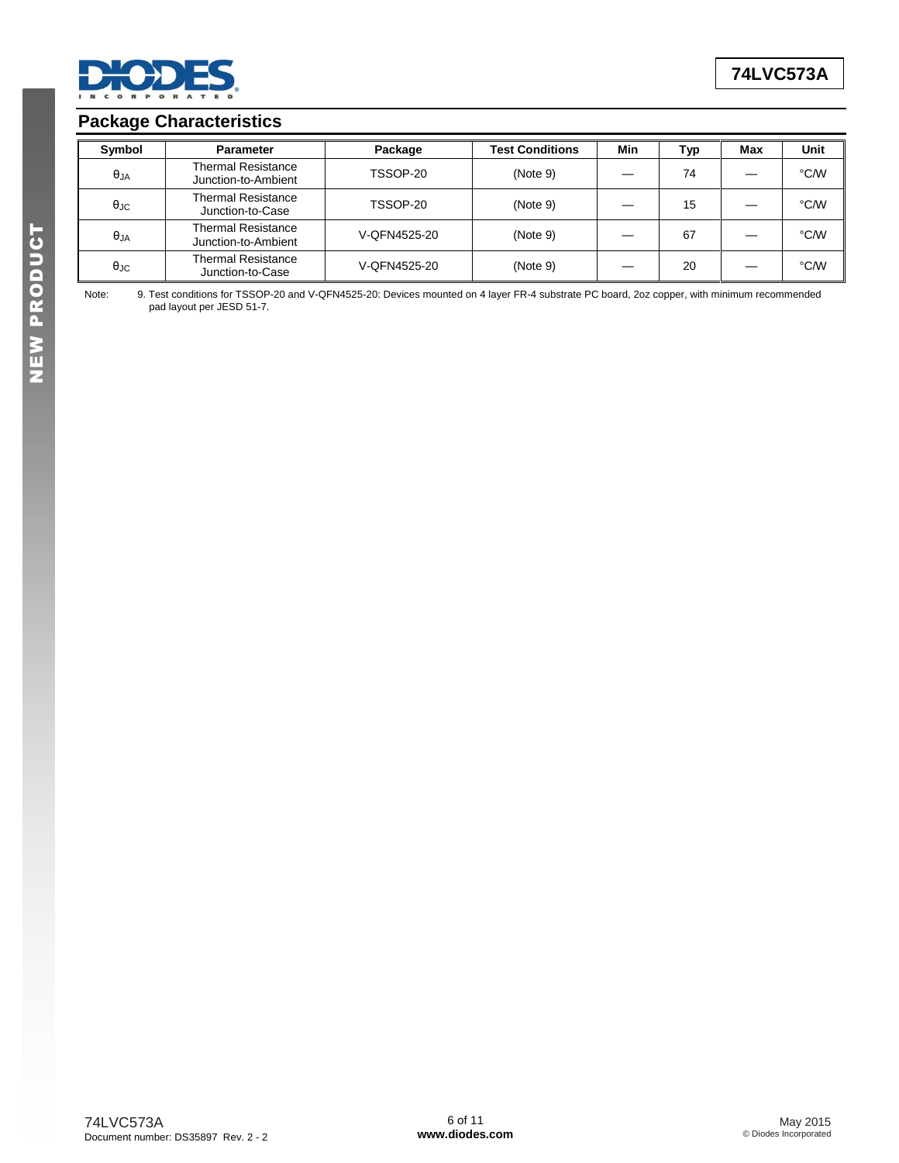

## **Package Characteristics**

| Symbol            | <b>Parameter</b>                                 | Package      | <b>Test Conditions</b> | Min | Тур | Max | Unit |
|-------------------|--------------------------------------------------|--------------|------------------------|-----|-----|-----|------|
| $\theta_{JA}$     | <b>Thermal Resistance</b><br>Junction-to-Ambient | TSSOP-20     | (Note 9)               |     | 74  |     | °C/W |
| $\theta_{\rm JC}$ | <b>Thermal Resistance</b><br>Junction-to-Case    | TSSOP-20     | (Note 9)               |     | 15  |     | °C/W |
| $\theta$ JA       | <b>Thermal Resistance</b><br>Junction-to-Ambient | V-QFN4525-20 | (Note 9)               |     | 67  |     | °C/W |
| $\theta_{\rm JC}$ | <b>Thermal Resistance</b><br>Junction-to-Case    | V-QFN4525-20 | (Note 9)               |     | 20  |     | °C/W |

Note: 9. Test conditions for TSSOP-20 and V-QFN4525-20: Devices mounted on 4 layer FR-4 substrate PC board, 2oz copper, with minimum recommended pad layout per JESD 51-7.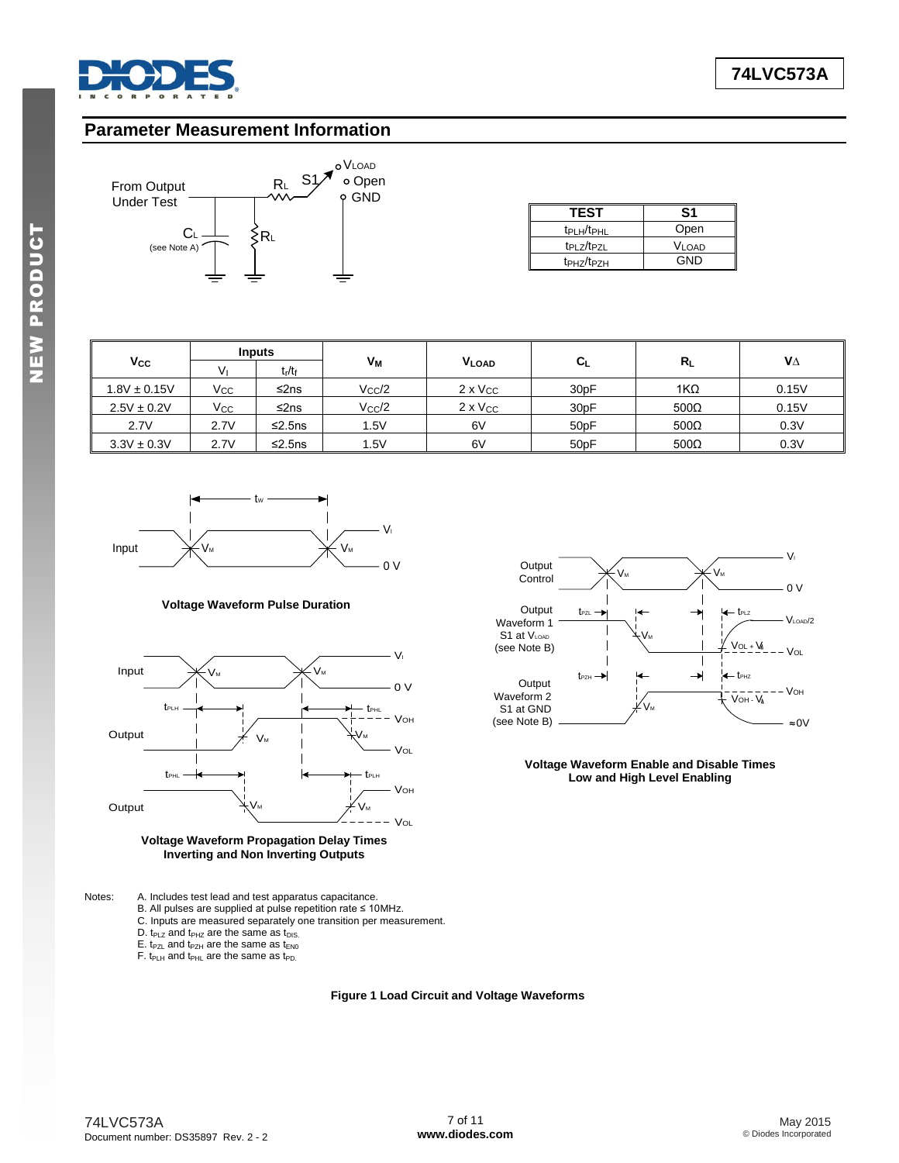

**A**

#### **Parameter Measurement Information**



| <b>TEST</b>                        | S1                |
|------------------------------------|-------------------|
| t <sub>PLH</sub> /t <sub>PHL</sub> | Open              |
| t <sub>PLZ</sub> /t <sub>PZL</sub> | V <sub>LOAD</sub> |
| t <sub>PHZ</sub> /t <sub>PZH</sub> | GND               |

|                  |      | <b>Inputs</b>                  |                    |                   |                   |             |       |  |
|------------------|------|--------------------------------|--------------------|-------------------|-------------------|-------------|-------|--|
| $V_{\rm CC}$     | V١   | t <sub>r</sub> /t <sub>f</sub> | Vм<br><b>VLOAD</b> |                   | $C_L$             | $R_{L}$     | VΔ    |  |
| $1.8V \pm 0.15V$ | Vcc  | ≤2ns                           | $V_{\rm CC}/2$     | $2 \times V_{CC}$ | 30 <sub>pF</sub>  | $1K\Omega$  | 0.15V |  |
| $2.5V \pm 0.2V$  | Vcc  | ≤2ns                           | $V_{\rm CC}/2$     | $2 \times V_{CC}$ | 30 <sub>pF</sub>  | $500\Omega$ | 0.15V |  |
| 2.7V             | 2.7V | $\leq$ 2.5ns                   | 1.5V               | 6V                | 50 <sub>p</sub> F | $500\Omega$ | 0.3V  |  |
| $3.3V \pm 0.3V$  | 2.7V | $\leq$ 2.5ns                   | 1.5V               | 6V                | 50 <sub>p</sub> F | $500\Omega$ | 0.3V  |  |



#### **Voltage Waveform Pulse Duration**





Notes: A. Includes test lead and test apparatus capacitance.

- B. All pulses are supplied at pulse repetition rate ≤ 10MHz.
- C. Inputs are measured separately one transition per measurement.
- D.  $t_{PLZ}$  and  $t_{PHZ}$  are the same as  $t_{DIS}$ .
- $E.$  t<sub>PZL</sub> and t<sub>PZH</sub> are the same as t<sub>EN0</sub>
- F. t<sub>PLH</sub> and t<sub>PHL</sub> are the same as t<sub>PD.</sub>
	-

**Figure 1 Load Circuit and Voltage Waveforms**



**Voltage Waveform Enable and Disable Times Low and High Level Enabling**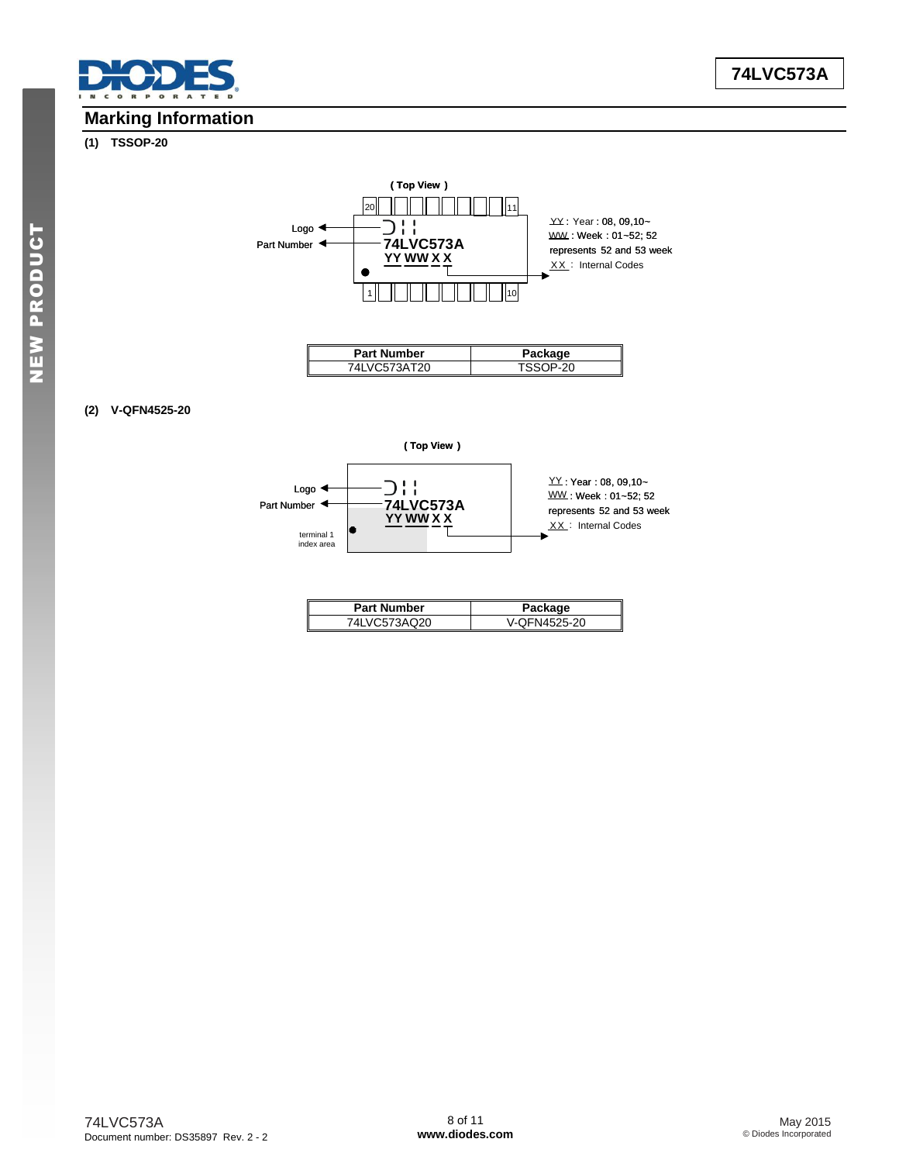

# **Marking Information**

#### **(1) TSSOP-20**



#### **(2) V-QFN4525-20**



| <b>Part Number</b> | Package      |
|--------------------|--------------|
| VC573AQ20          | V-OFN4525-20 |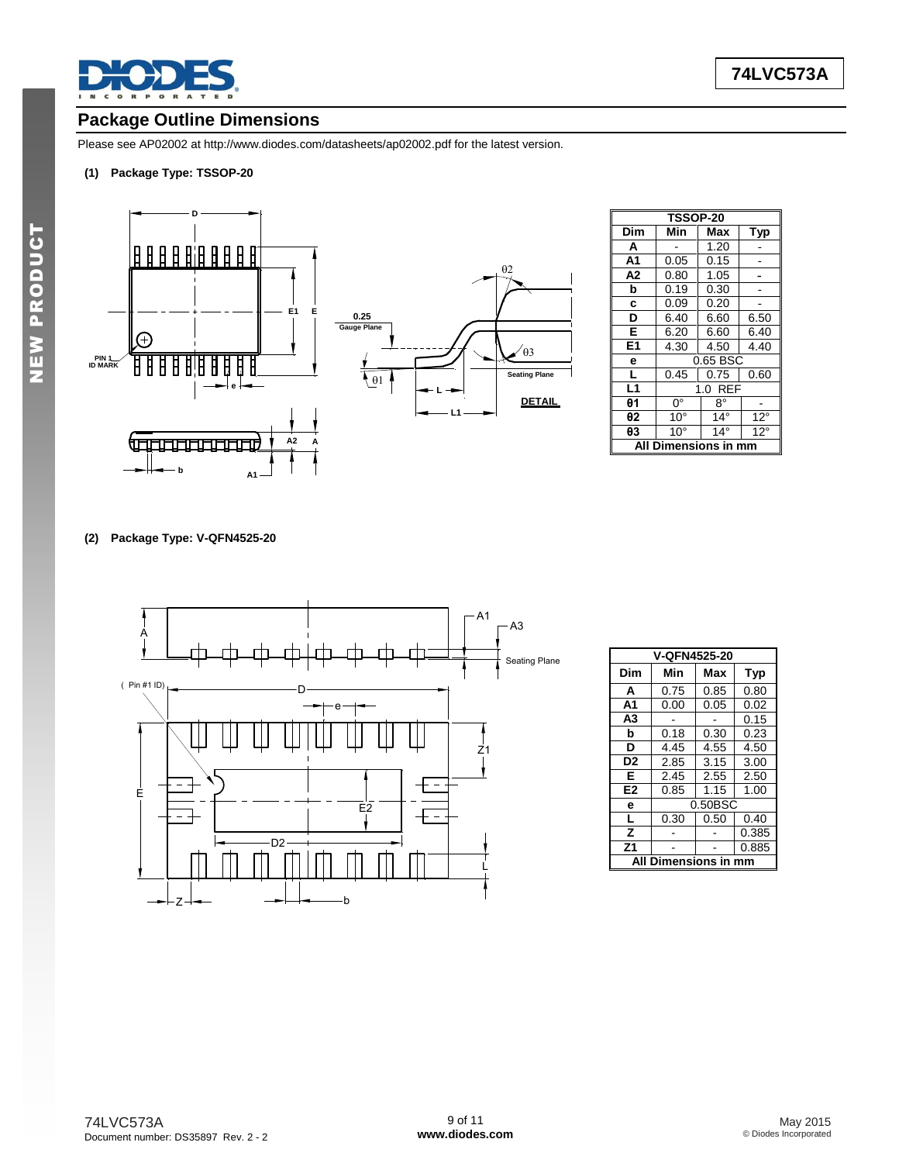

# **Package Outline Dimensions**

Please see AP02002 at [http://www.diodes.com/datasheets/ap02002.pdf fo](http://www.diodes.com/datasheets/ap02002.pdf)r the latest version.

#### **(1) Package Type: TSSOP-20**



| <b>TSSOP-20</b>     |                   |              |              |  |
|---------------------|-------------------|--------------|--------------|--|
| Dim                 | Min               | Max          | Typ          |  |
| A                   |                   | 1.20         |              |  |
| A <sub>1</sub>      | 0.05              | 0.15         |              |  |
| A <sub>2</sub>      | 0.80              | 1.05         |              |  |
| b                   | 0.19              | 0.30         |              |  |
| C                   | 0.09              | 0.20         |              |  |
| D                   | 6.40              | 6.60         | 6.50         |  |
| Е                   | 6.20              | 6.60         | 6.40         |  |
| E <sub>1</sub>      | 4.30              | 4.50         | 4.40         |  |
| е                   | 0.65 BSC          |              |              |  |
| г                   | 0.45              | 0.75         | 0.60         |  |
| L1                  | <b>REF</b><br>1.0 |              |              |  |
| $\theta$ 1          | $0^{\circ}$       | 8°           |              |  |
| θ2                  | $10^{\circ}$      | $14^{\circ}$ | $12^{\circ}$ |  |
| θ3                  | $10^{\circ}$      | $14^\circ$   | $12^{\circ}$ |  |
| Dimensions in<br>Al |                   |              |              |  |

**DETAIL**

 $\theta$ 3

 $\theta$ 2

**(2) Package Type: V-QFN4525-20** 



| V-QFN4525-20              |            |      |            |  |
|---------------------------|------------|------|------------|--|
| Dim                       | Min        | Max  | <b>Typ</b> |  |
| A                         | 0.75       | 0.85 | 0.80       |  |
| A1                        | 0.00       | 0.05 | 0.02       |  |
| A3                        |            |      | 0.15       |  |
| b                         | 0.18       | 0.30 | 0.23       |  |
| D                         | 4.45       | 4.55 | 4.50       |  |
| D <sub>2</sub>            | 2.85       | 3.15 | 3.00       |  |
| Е                         | 2.45       | 2.55 | 2.50       |  |
| E <sub>2</sub>            | 0.85       | 1.15 | 1.00       |  |
| e                         | $0.50$ BSC |      |            |  |
| L                         | 0.30       | 0.50 | 0.40       |  |
| z                         |            |      | 0.385      |  |
| Z <sub>1</sub>            |            |      | 0.885      |  |
| Dimensions in<br>ΔI<br>mm |            |      |            |  |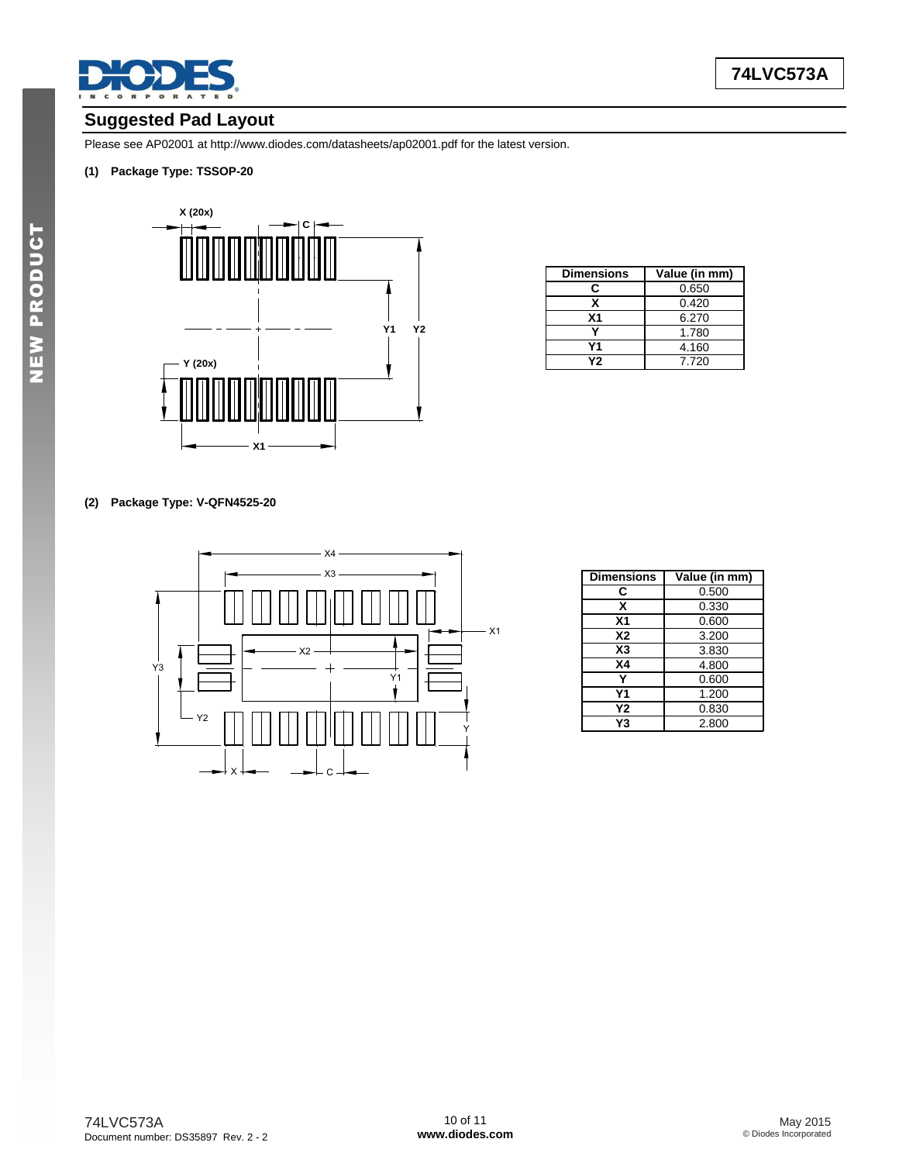

## **Suggested Pad Layout**

Please see AP02001 at [http://www.diodes.com/datasheets/ap02001.pdf fo](http://www.diodes.com/datasheets/ap02001.pdf)r the latest version.

#### **(1) Package Type: TSSOP-20**



| <b>Dimensions</b> | Value (in mm) |  |
|-------------------|---------------|--|
| r.                | 0.650         |  |
| x                 | 0.420         |  |
| X <sub>1</sub>    | 6.270         |  |
|                   | 1.780         |  |
| Υ1                | 4.160         |  |
| Y2                | 7.720         |  |

#### **(2) Package Type: V-QFN4525-20**



| <b>Dimensions</b> | Value (in mm) |  |
|-------------------|---------------|--|
| C                 | 0.500         |  |
| x                 | 0.330         |  |
| Χ1                | 0.600         |  |
| X2                | 3.200         |  |
| X3                | 3.830         |  |
| Χ4                | 4.800         |  |
|                   | 0.600         |  |
| Υ1                | 1.200         |  |
| Υ2                | 0.830         |  |
| Y3                | 2.800         |  |